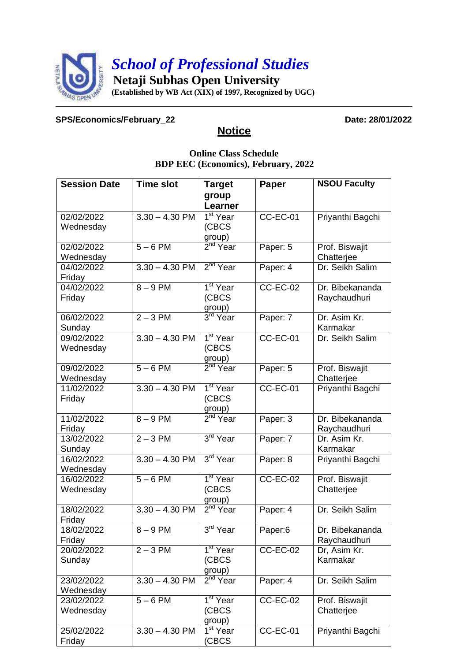

## **SPS/Economics/February\_22 Date: 28/01/2022**

## **Notice**

## **Online Class Schedule BDP EEC (Economics), February, 2022**

| <b>Session Date</b>     | <b>Time slot</b> | <b>Target</b>                     | Paper           | <b>NSOU Faculty</b> |
|-------------------------|------------------|-----------------------------------|-----------------|---------------------|
|                         |                  | group                             |                 |                     |
|                         |                  | Learner                           |                 |                     |
| 02/02/2022              | $3.30 - 4.30$ PM | $1st$ Year                        | $CC-EC-01$      | Priyanthi Bagchi    |
| Wednesday               |                  | (CBCS)                            |                 |                     |
|                         |                  | group)                            |                 |                     |
| 02/02/2022              | $5 - 6$ PM       | $2nd$ Year                        | Paper: 5        | Prof. Biswajit      |
| Wednesday               |                  |                                   |                 | Chatterjee          |
| 04/02/2022              | $3.30 - 4.30$ PM | 2 <sup>nd</sup> Year              | Paper: 4        | Dr. Seikh Salim     |
| Friday                  |                  |                                   |                 |                     |
| 04/02/2022              | $8 - 9$ PM       | $1st$ Year                        | <b>CC-EC-02</b> | Dr. Bibekananda     |
| Friday                  |                  | (CBCS                             |                 | Raychaudhuri        |
| 06/02/2022              | $2 - 3$ PM       | group)<br>3 <sup>rd</sup> Year    | Paper: 7        | Dr. Asim Kr.        |
| Sunday                  |                  |                                   |                 | Karmakar            |
| 09/02/2022              | $3.30 - 4.30$ PM | 1 <sup>st</sup> Year              | $CC-EC-01$      | Dr. Seikh Salim     |
| Wednesday               |                  | (CBCS                             |                 |                     |
|                         |                  | group)                            |                 |                     |
| 09/02/2022              | $5 - 6$ PM       | 2 <sup>nd</sup> Year              | Paper: 5        | Prof. Biswajit      |
| Wednesday               |                  |                                   |                 | Chatterjee          |
| 11/02/2022              | $3.30 - 4.30$ PM | 1 <sup>st</sup> Year              | <b>CC-EC-01</b> | Priyanthi Bagchi    |
| Friday                  |                  | (CBCS                             |                 |                     |
|                         |                  | group)                            |                 |                     |
| 11/02/2022              | $8 - 9$ PM       | $2nd$ Year                        | Paper: 3        | Dr. Bibekananda     |
| Friday                  |                  |                                   |                 | Raychaudhuri        |
| 13/02/2022              | $2 - 3$ PM       | 3 <sup>rd</sup> Year              | Paper: 7        | Dr. Asim Kr.        |
| Sunday                  |                  |                                   |                 | Karmakar            |
| 16/02/2022              | $3.30 - 4.30$ PM | 3rd Year                          | Paper: 8        | Priyanthi Bagchi    |
| Wednesday<br>16/02/2022 | $5 - 6$ PM       | 1 <sup>st</sup> Year              | $CC-EC-02$      | Prof. Biswajit      |
| Wednesday               |                  | (CBCS                             |                 | Chatterjee          |
|                         |                  | group)                            |                 |                     |
| 18/02/2022              | $3.30 - 4.30$ PM | $2nd$ Year                        | Paper: 4        | Dr. Seikh Salim     |
| Friday                  |                  |                                   |                 |                     |
| 18/02/2022              | $8 - 9$ PM       | 3 <sup>rd</sup> Year              | Paper:6         | Dr. Bibekananda     |
| Friday                  |                  |                                   |                 | Raychaudhuri        |
| 20/02/2022              | $2 - 3$ PM       | 1 <sup>st</sup> Year              | <b>CC-EC-02</b> | Dr, Asim Kr.        |
| Sunday                  |                  | (CBCS)                            |                 | Karmakar            |
|                         |                  | group)                            |                 |                     |
| 23/02/2022              | $3.30 - 4.30$ PM | $2nd$ Year                        | Paper: 4        | Dr. Seikh Salim     |
| Wednesday               |                  |                                   |                 |                     |
| 23/02/2022              | $5 - 6$ PM       | $1st$ Year                        | $CC-EC-02$      | Prof. Biswajit      |
| Wednesday               |                  | (CBCS)                            |                 | Chatterjee          |
|                         |                  | group)                            |                 |                     |
| 25/02/2022              | $3.30 - 4.30$ PM | $\overline{1}$ <sup>st</sup> Year | <b>CC-EC-01</b> | Priyanthi Bagchi    |
| Friday                  |                  | (CBCS                             |                 |                     |